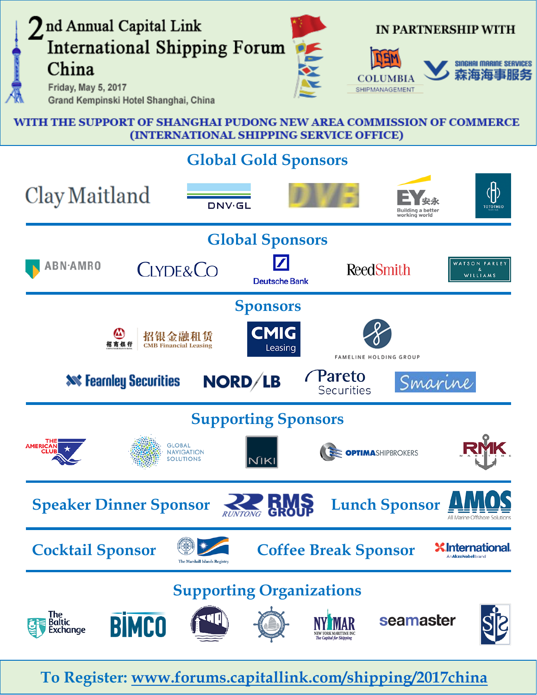

WITH THE SUPPORT OF SHANGHAI PUDONG NEW AREA COMMISSION OF COMMERCE (INTERNATIONAL SHIPPING SERVICE OFFICE)

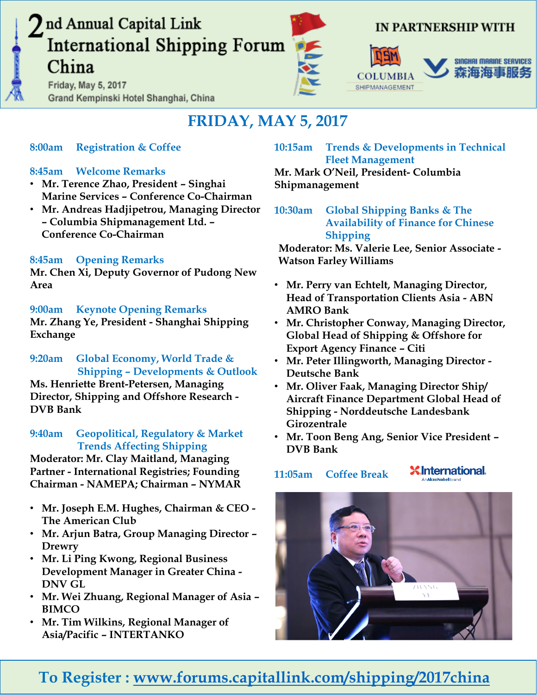Friday, May 5, 2017 Grand Kempinski Hotel Shanghai, China



## IN PARTNERSHIP WITH





## **FRIDAY, MAY 5, 2017**

## **8:00am Registration & Coffee**

## **8:45am Welcome Remarks**

- **Mr. Terence Zhao, President – Singhai Marine Services – Conference Co-Chairman**
- **Mr. Andreas Hadjipetrou, Managing Director – Columbia Shipmanagement Ltd. – Conference Co-Chairman**

## **8:45am Opening Remarks**

**Mr. Chen Xi, Deputy Governor of Pudong New Area**

## **9:00am Keynote Opening Remarks**

**Mr. Zhang Ye, President - Shanghai Shipping Exchange**

**9:20am Global Economy, World Trade & Shipping – Developments & Outlook Ms. Henriette Brent-Petersen, Managing** 

**Director, Shipping and Offshore Research - DVB Bank**

#### **9:40am Geopolitical, Regulatory & Market Trends Affecting Shipping**

**Moderator: Mr. Clay Maitland, Managing Partner - International Registries; Founding Chairman - NAMEPA; Chairman – NYMAR**

- **Mr. Joseph E.M. Hughes, Chairman & CEO - The American Club**
- **Mr. Arjun Batra, Group Managing Director – Drewry**
- **Mr. Li Ping Kwong, Regional Business Development Manager in Greater China - DNV GL**
- **Mr. Wei Zhuang, Regional Manager of Asia – BIMCO**
- **Mr. Tim Wilkins, Regional Manager of Asia/Pacific – INTERTANKO**

**10:15am Trends & Developments in Technical Fleet Management** 

**Mr. Mark O'Neil, President- Columbia Shipmanagement**

**10:30am Global Shipping Banks & The Availability of Finance for Chinese Shipping**

**Moderator: Ms. Valerie Lee, Senior Associate - Watson Farley Williams**

- **Mr. Perry van Echtelt, Managing Director, Head of Transportation Clients Asia - ABN AMRO Bank**
- **Mr. Christopher Conway, Managing Director, Global Head of Shipping & Offshore for Export Agency Finance – Citi**
- **Mr. Peter Illingworth, Managing Director - Deutsche Bank**
- **Mr. Oliver Faak, Managing Director Ship/ Aircraft Finance Department Global Head of Shipping - Norddeutsche Landesbank Girozentrale**
- **Mr. Toon Beng Ang, Senior Vice President – DVB Bank**

#### **X** International. **11:05am Coffee Break**

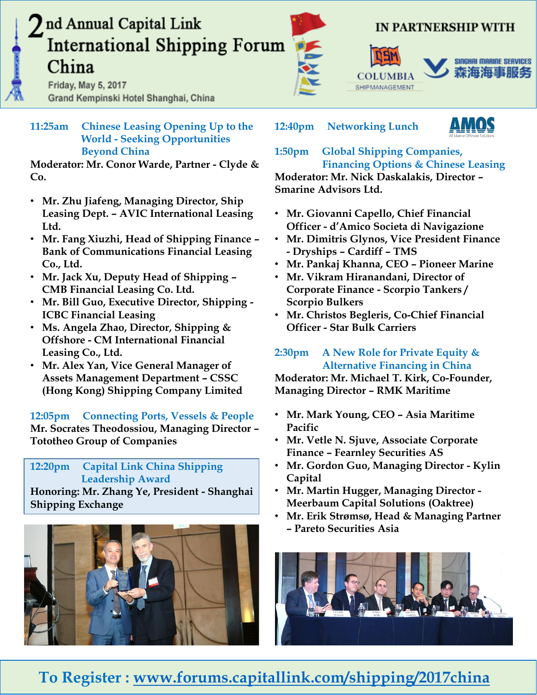Friday, May 5, 2017 Grand Kempinski Hotel Shanghai, China



## IN PARTNERSHIP WITH

# SHIPMANAGEMENT



**11:25am Chinese Leasing Opening Up to the World - Seeking Opportunities Beyond China**

**Moderator: Mr. Conor Warde, Partner - Clyde & Co.**

- **Mr. Zhu Jiafeng, Managing Director, Ship Leasing Dept. – AVIC International Leasing Ltd.**
- **Mr. Fang Xiuzhi, Head of Shipping Finance – Bank of Communications Financial Leasing Co., Ltd.**
- **Mr. Jack Xu, Deputy Head of Shipping – CMB Financial Leasing Co. Ltd.**
- **Mr. Bill Guo, Executive Director, Shipping - ICBC Financial Leasing**
- **Ms. Angela Zhao, Director, Shipping & Offshore - CM International Financial Leasing Co., Ltd.**
- **Mr. Alex Yan, Vice General Manager of Assets Management Department – CSSC (Hong Kong) Shipping Company Limited**

**12:05pm Connecting Ports, Vessels & People Mr. Socrates Theodossiou, Managing Director – Tototheo Group of Companies**

## **12:20pm Capital Link China Shipping Leadership Award**

**Honoring: Mr. Zhang Ye, President - Shanghai Shipping Exchange**



**12:40pm Networking Lunch**



#### **1:50pm Global Shipping Companies, Financing Options & Chinese Leasing Moderator: Mr. Nick Daskalakis, Director – Smarine Advisors Ltd.**

- **Mr. Giovanni Capello, Chief Financial Officer - d'Amico Societa di Navigazione**
- **Mr. Dimitris Glynos, Vice President Finance - Dryships – Cardiff – TMS**
- **Mr. Pankaj Khanna, CEO – Pioneer Marine**
- **Mr. Vikram Hiranandani, Director of Corporate Finance - Scorpio Tankers / Scorpio Bulkers**
- **Mr. Christos Begleris, Co-Chief Financial Officer - Star Bulk Carriers**

## **2:30pm A New Role for Private Equity & Alternative Financing in China**

**Moderator: Mr. Michael T. Kirk, Co-Founder, Managing Director – RMK Maritime**

- **Mr. Mark Young, CEO – Asia Maritime Pacific**
- **Mr. Vetle N. Sjuve, Associate Corporate Finance – Fearnley Securities AS**
- **Mr. Gordon Guo, Managing Director - Kylin Capital**
- **Mr. Martin Hugger, Managing Director - Meerbaum Capital Solutions (Oaktree)**
- **Mr. Erik Strømsø, Head & Managing Partner – Pareto Securities Asia**

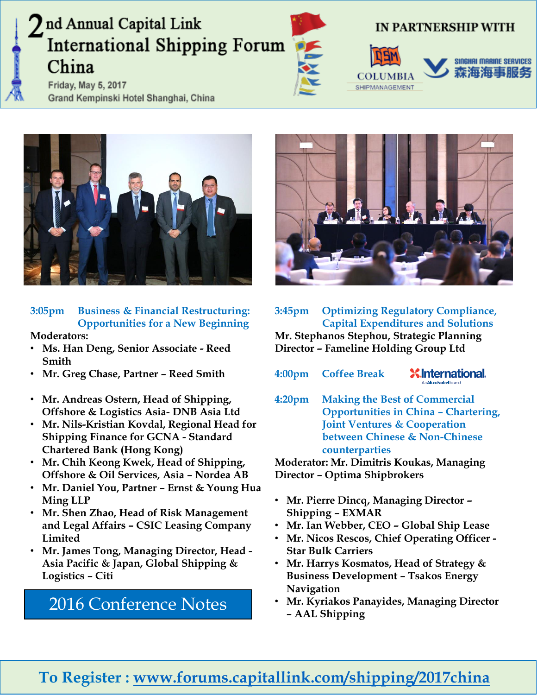Friday, May 5, 2017 Grand Kempinski Hotel Shanghai, China



## IN PARTNERSHIP WITH







## **3:05pm Business & Financial Restructuring: Opportunities for a New Beginning**

#### **Moderators:**

- **Ms. Han Deng, Senior Associate - Reed Smith**
- **Mr. Greg Chase, Partner – Reed Smith**
- **Mr. Andreas Ostern, Head of Shipping, Offshore & Logistics Asia- DNB Asia Ltd**
- **Mr. Nils-Kristian Kovdal, Regional Head for Shipping Finance for GCNA - Standard Chartered Bank (Hong Kong)**
- **Mr. Chih Keong Kwek, Head of Shipping, Offshore & Oil Services, Asia – Nordea AB**
- **Mr. Daniel You, Partner – Ernst & Young Hua Ming LLP**
- **Mr. Shen Zhao, Head of Risk Management and Legal Affairs – CSIC Leasing Company Limited**
- **Mr. James Tong, Managing Director, Head - Asia Pacific & Japan, Global Shipping & Logistics – Citi**

# **– AAL Shipping** [2016 Conference Notes](http://forums.capitallink.com/shipping/2016china/conf_notes.pdf)



**3:45pm Optimizing Regulatory Compliance, Capital Expenditures and Solutions Mr. Stephanos Stephou, Strategic Planning Director – Fameline Holding Group Ltd**

- **4:00pm Coffee Break X** International.
- **4:20pm Making the Best of Commercial Opportunities in China – Chartering, Joint Ventures & Cooperation between Chinese & Non-Chinese counterparties**

**Moderator: Mr. Dimitris Koukas, Managing Director – Optima Shipbrokers**

- **Mr. Pierre Dincq, Managing Director – Shipping – EXMAR**
- **Mr. Ian Webber, CEO – Global Ship Lease**
- **Mr. Nicos Rescos, Chief Operating Officer - Star Bulk Carriers**
- **Mr. Harrys Kosmatos, Head of Strategy & Business Development – Tsakos Energy Navigation**
- **Mr. Kyriakos Panayides, Managing Director**